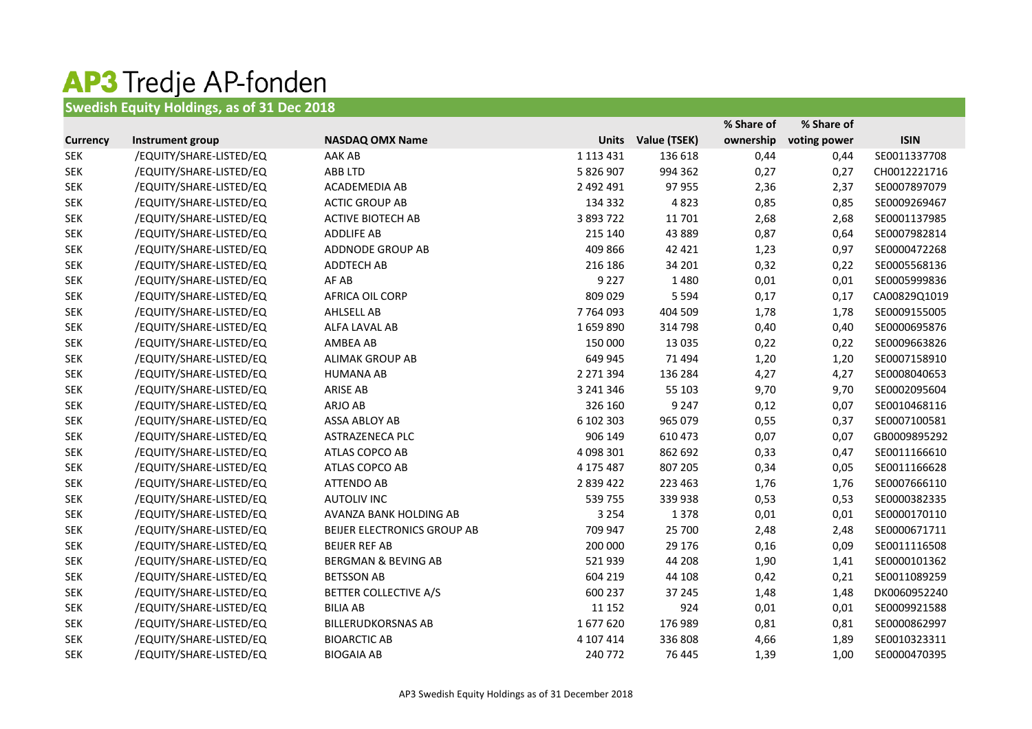## AP3 Tredje AP-fonden

## **Swedish Equity Holdings, as of 31 Dec 2018**

|                 |                         |                                |              |              | % Share of | % Share of   |              |
|-----------------|-------------------------|--------------------------------|--------------|--------------|------------|--------------|--------------|
| <b>Currency</b> | Instrument group        | <b>NASDAQ OMX Name</b>         | <b>Units</b> | Value (TSEK) | ownership  | voting power | <b>ISIN</b>  |
| <b>SEK</b>      | /EQUITY/SHARE-LISTED/EQ | AAK AB                         | 1 113 431    | 136 618      | 0,44       | 0,44         | SE0011337708 |
| <b>SEK</b>      | /EQUITY/SHARE-LISTED/EQ | ABB LTD                        | 5 826 907    | 994 362      | 0,27       | 0,27         | CH0012221716 |
| <b>SEK</b>      | /EQUITY/SHARE-LISTED/EQ | ACADEMEDIA AB                  | 2 492 491    | 97 955       | 2,36       | 2,37         | SE0007897079 |
| <b>SEK</b>      | /EQUITY/SHARE-LISTED/EQ | <b>ACTIC GROUP AB</b>          | 134 332      | 4823         | 0,85       | 0,85         | SE0009269467 |
| <b>SEK</b>      | /EQUITY/SHARE-LISTED/EQ | <b>ACTIVE BIOTECH AB</b>       | 3 893 722    | 11701        | 2,68       | 2,68         | SE0001137985 |
| <b>SEK</b>      | /EQUITY/SHARE-LISTED/EQ | <b>ADDLIFE AB</b>              | 215 140      | 43 889       | 0,87       | 0,64         | SE0007982814 |
| <b>SEK</b>      | /EQUITY/SHARE-LISTED/EQ | ADDNODE GROUP AB               | 409 866      | 42 4 21      | 1,23       | 0,97         | SE0000472268 |
| <b>SEK</b>      | /EQUITY/SHARE-LISTED/EQ | ADDTECH AB                     | 216 186      | 34 201       | 0,32       | 0,22         | SE0005568136 |
| <b>SEK</b>      | /EQUITY/SHARE-LISTED/EQ | AF AB                          | 9 2 2 7      | 1480         | 0,01       | 0,01         | SE0005999836 |
| <b>SEK</b>      | /EQUITY/SHARE-LISTED/EQ | AFRICA OIL CORP                | 809 029      | 5 5 9 4      | 0,17       | 0,17         | CA00829Q1019 |
| <b>SEK</b>      | /EQUITY/SHARE-LISTED/EQ | <b>AHLSELL AB</b>              | 7 7 64 0 93  | 404 509      | 1,78       | 1,78         | SE0009155005 |
| <b>SEK</b>      | /EQUITY/SHARE-LISTED/EQ | ALFA LAVAL AB                  | 1659890      | 314 798      | 0,40       | 0,40         | SE0000695876 |
| <b>SEK</b>      | /EQUITY/SHARE-LISTED/EQ | AMBEA AB                       | 150 000      | 13 0 35      | 0,22       | 0,22         | SE0009663826 |
| <b>SEK</b>      | /EQUITY/SHARE-LISTED/EQ | <b>ALIMAK GROUP AB</b>         | 649 945      | 71 494       | 1,20       | 1,20         | SE0007158910 |
| <b>SEK</b>      | /EQUITY/SHARE-LISTED/EQ | <b>HUMANA AB</b>               | 2 271 394    | 136 284      | 4,27       | 4,27         | SE0008040653 |
| <b>SEK</b>      | /EQUITY/SHARE-LISTED/EQ | ARISE AB                       | 3 241 346    | 55 103       | 9,70       | 9,70         | SE0002095604 |
| <b>SEK</b>      | /EQUITY/SHARE-LISTED/EQ | ARJO AB                        | 326 160      | 9 2 4 7      | 0,12       | 0,07         | SE0010468116 |
| <b>SEK</b>      | /EQUITY/SHARE-LISTED/EQ | ASSA ABLOY AB                  | 6 102 303    | 965 079      | 0,55       | 0,37         | SE0007100581 |
| <b>SEK</b>      | /EQUITY/SHARE-LISTED/EQ | ASTRAZENECA PLC                | 906 149      | 610 473      | 0,07       | 0,07         | GB0009895292 |
| <b>SEK</b>      | /EQUITY/SHARE-LISTED/EQ | ATLAS COPCO AB                 | 4 098 301    | 862 692      | 0,33       | 0,47         | SE0011166610 |
| <b>SEK</b>      | /EQUITY/SHARE-LISTED/EQ | ATLAS COPCO AB                 | 4 175 487    | 807 205      | 0,34       | 0,05         | SE0011166628 |
| <b>SEK</b>      | /EQUITY/SHARE-LISTED/EQ | <b>ATTENDO AB</b>              | 2 839 422    | 223 463      | 1,76       | 1,76         | SE0007666110 |
| <b>SEK</b>      | /EQUITY/SHARE-LISTED/EQ | <b>AUTOLIV INC</b>             | 539755       | 339 938      | 0,53       | 0,53         | SE0000382335 |
| <b>SEK</b>      | /EQUITY/SHARE-LISTED/EQ | AVANZA BANK HOLDING AB         | 3 2 5 4      | 1378         | 0,01       | 0,01         | SE0000170110 |
| <b>SEK</b>      | /EQUITY/SHARE-LISTED/EQ | BEIJER ELECTRONICS GROUP AB    | 709 947      | 25 700       | 2,48       | 2,48         | SE0000671711 |
| <b>SEK</b>      | /EQUITY/SHARE-LISTED/EQ | <b>BEIJER REF AB</b>           | 200 000      | 29 17 6      | 0,16       | 0,09         | SE0011116508 |
| <b>SEK</b>      | /EQUITY/SHARE-LISTED/EQ | <b>BERGMAN &amp; BEVING AB</b> | 521939       | 44 208       | 1,90       | 1,41         | SE0000101362 |
| <b>SEK</b>      | /EQUITY/SHARE-LISTED/EQ | <b>BETSSON AB</b>              | 604 219      | 44 108       | 0,42       | 0,21         | SE0011089259 |
| <b>SEK</b>      | /EQUITY/SHARE-LISTED/EQ | <b>BETTER COLLECTIVE A/S</b>   | 600 237      | 37 245       | 1,48       | 1,48         | DK0060952240 |
| <b>SEK</b>      | /EQUITY/SHARE-LISTED/EQ | <b>BILIA AB</b>                | 11 152       | 924          | 0,01       | 0,01         | SE0009921588 |
| <b>SEK</b>      | /EQUITY/SHARE-LISTED/EQ | <b>BILLERUDKORSNAS AB</b>      | 1677620      | 176 989      | 0,81       | 0,81         | SE0000862997 |
| <b>SEK</b>      | /EQUITY/SHARE-LISTED/EQ | <b>BIOARCTIC AB</b>            | 4 107 414    | 336 808      | 4,66       | 1,89         | SE0010323311 |
| <b>SEK</b>      | /EQUITY/SHARE-LISTED/EQ | <b>BIOGAIA AB</b>              | 240 772      | 76 445       | 1,39       | 1,00         | SE0000470395 |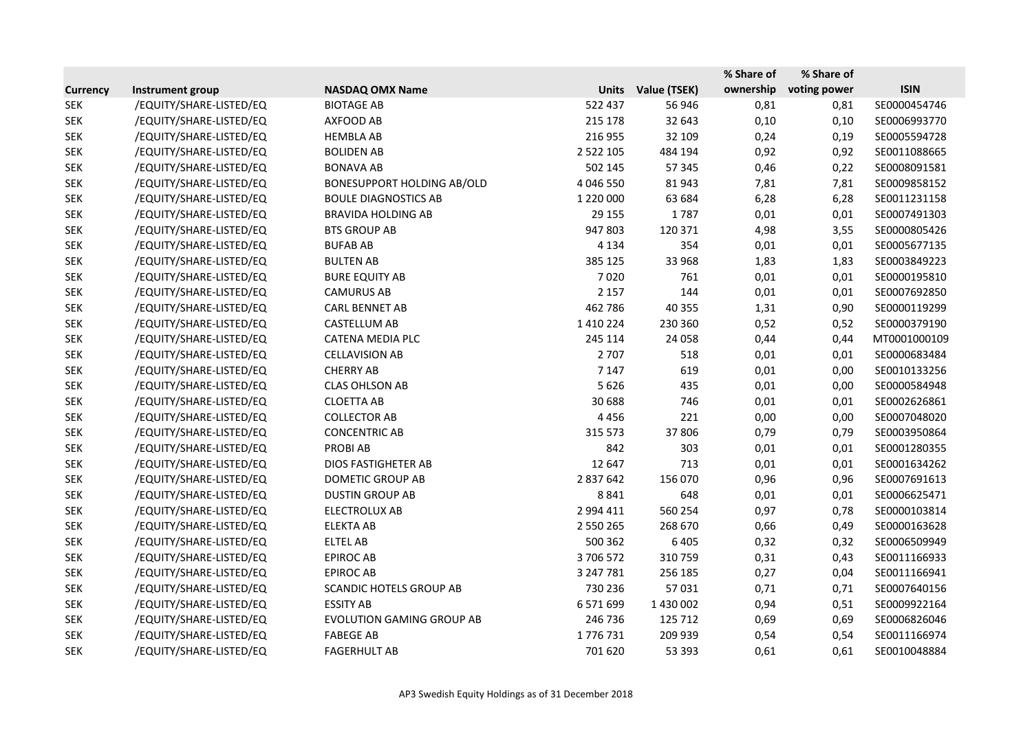|                 |                         |                                   |               |              | % Share of | % Share of   |              |
|-----------------|-------------------------|-----------------------------------|---------------|--------------|------------|--------------|--------------|
| <b>Currency</b> | Instrument group        | <b>NASDAQ OMX Name</b>            | <b>Units</b>  | Value (TSEK) | ownership  | voting power | <b>ISIN</b>  |
| <b>SEK</b>      | /EQUITY/SHARE-LISTED/EQ | <b>BIOTAGE AB</b>                 | 522 437       | 56 946       | 0,81       | 0,81         | SE0000454746 |
| <b>SEK</b>      | /EQUITY/SHARE-LISTED/EQ | AXFOOD AB                         | 215 178       | 32 643       | 0,10       | 0,10         | SE0006993770 |
| <b>SEK</b>      | /EQUITY/SHARE-LISTED/EQ | <b>HEMBLA AB</b>                  | 216 955       | 32 109       | 0,24       | 0,19         | SE0005594728 |
| <b>SEK</b>      | /EQUITY/SHARE-LISTED/EQ | <b>BOLIDEN AB</b>                 | 2 5 2 2 1 0 5 | 484 194      | 0,92       | 0,92         | SE0011088665 |
| <b>SEK</b>      | /EQUITY/SHARE-LISTED/EQ | <b>BONAVA AB</b>                  | 502 145       | 57 345       | 0,46       | 0,22         | SE0008091581 |
| <b>SEK</b>      | /EQUITY/SHARE-LISTED/EQ | <b>BONESUPPORT HOLDING AB/OLD</b> | 4 046 550     | 81943        | 7,81       | 7,81         | SE0009858152 |
| <b>SEK</b>      | /EQUITY/SHARE-LISTED/EQ | <b>BOULE DIAGNOSTICS AB</b>       | 1 220 000     | 63 684       | 6,28       | 6,28         | SE0011231158 |
| <b>SEK</b>      | /EQUITY/SHARE-LISTED/EQ | <b>BRAVIDA HOLDING AB</b>         | 29 155        | 1787         | 0,01       | 0,01         | SE0007491303 |
| <b>SEK</b>      | /EQUITY/SHARE-LISTED/EQ | <b>BTS GROUP AB</b>               | 947803        | 120 371      | 4,98       | 3,55         | SE0000805426 |
| <b>SEK</b>      | /EQUITY/SHARE-LISTED/EQ | <b>BUFAB AB</b>                   | 4 1 3 4       | 354          | 0,01       | 0,01         | SE0005677135 |
| <b>SEK</b>      | /EQUITY/SHARE-LISTED/EQ | <b>BULTEN AB</b>                  | 385 125       | 33 968       | 1,83       | 1,83         | SE0003849223 |
| <b>SEK</b>      | /EQUITY/SHARE-LISTED/EQ | <b>BURE EQUITY AB</b>             | 7020          | 761          | 0,01       | 0,01         | SE0000195810 |
| <b>SEK</b>      | /EQUITY/SHARE-LISTED/EQ | <b>CAMURUS AB</b>                 | 2 1 5 7       | 144          | 0,01       | 0,01         | SE0007692850 |
| <b>SEK</b>      | /EQUITY/SHARE-LISTED/EQ | <b>CARL BENNET AB</b>             | 462 786       | 40 355       | 1,31       | 0,90         | SE0000119299 |
| <b>SEK</b>      | /EQUITY/SHARE-LISTED/EQ | CASTELLUM AB                      | 1 4 1 0 2 2 4 | 230 360      | 0,52       | 0,52         | SE0000379190 |
| <b>SEK</b>      | /EQUITY/SHARE-LISTED/EQ | CATENA MEDIA PLC                  | 245 114       | 24 058       | 0,44       | 0,44         | MT0001000109 |
| <b>SEK</b>      | /EQUITY/SHARE-LISTED/EQ | <b>CELLAVISION AB</b>             | 2 7 0 7       | 518          | 0,01       | 0,01         | SE0000683484 |
| <b>SEK</b>      | /EQUITY/SHARE-LISTED/EQ | <b>CHERRY AB</b>                  | 7 1 4 7       | 619          | 0,01       | 0,00         | SE0010133256 |
| <b>SEK</b>      | /EQUITY/SHARE-LISTED/EQ | <b>CLAS OHLSON AB</b>             | 5626          | 435          | 0,01       | 0,00         | SE0000584948 |
| <b>SEK</b>      | /EQUITY/SHARE-LISTED/EQ | <b>CLOETTA AB</b>                 | 30 688        | 746          | 0,01       | 0,01         | SE0002626861 |
| <b>SEK</b>      | /EQUITY/SHARE-LISTED/EQ | <b>COLLECTOR AB</b>               | 4456          | 221          | 0,00       | 0,00         | SE0007048020 |
| <b>SEK</b>      | /EQUITY/SHARE-LISTED/EQ | <b>CONCENTRIC AB</b>              | 315 573       | 37806        | 0,79       | 0,79         | SE0003950864 |
| <b>SEK</b>      | /EQUITY/SHARE-LISTED/EQ | <b>PROBIAB</b>                    | 842           | 303          | 0,01       | 0,01         | SE0001280355 |
| <b>SEK</b>      | /EQUITY/SHARE-LISTED/EQ | DIOS FASTIGHETER AB               | 12 647        | 713          | 0,01       | 0,01         | SE0001634262 |
| <b>SEK</b>      | /EQUITY/SHARE-LISTED/EQ | DOMETIC GROUP AB                  | 2 837 642     | 156 070      | 0,96       | 0,96         | SE0007691613 |
| <b>SEK</b>      | /EQUITY/SHARE-LISTED/EQ | <b>DUSTIN GROUP AB</b>            | 8841          | 648          | 0,01       | 0,01         | SE0006625471 |
| <b>SEK</b>      | /EQUITY/SHARE-LISTED/EQ | <b>ELECTROLUX AB</b>              | 2 994 411     | 560 254      | 0,97       | 0,78         | SE0000103814 |
| <b>SEK</b>      | /EQUITY/SHARE-LISTED/EQ | <b>ELEKTA AB</b>                  | 2 550 265     | 268 670      | 0,66       | 0,49         | SE0000163628 |
| <b>SEK</b>      | /EQUITY/SHARE-LISTED/EQ | <b>ELTEL AB</b>                   | 500 362       | 6 4 0 5      | 0,32       | 0,32         | SE0006509949 |
| <b>SEK</b>      | /EQUITY/SHARE-LISTED/EQ | <b>EPIROC AB</b>                  | 3706572       | 310759       | 0,31       | 0,43         | SE0011166933 |
| <b>SEK</b>      | /EQUITY/SHARE-LISTED/EQ | <b>EPIROC AB</b>                  | 3 247 781     | 256 185      | 0,27       | 0,04         | SE0011166941 |
| <b>SEK</b>      | /EQUITY/SHARE-LISTED/EQ | <b>SCANDIC HOTELS GROUP AB</b>    | 730 236       | 57031        | 0,71       | 0,71         | SE0007640156 |
| <b>SEK</b>      | /EQUITY/SHARE-LISTED/EQ | <b>ESSITY AB</b>                  | 6 571 699     | 1 430 002    | 0,94       | 0,51         | SE0009922164 |
| <b>SEK</b>      | /EQUITY/SHARE-LISTED/EQ | <b>EVOLUTION GAMING GROUP AB</b>  | 246 736       | 125 712      | 0,69       | 0,69         | SE0006826046 |
| <b>SEK</b>      | /EQUITY/SHARE-LISTED/EQ | <b>FABEGE AB</b>                  | 1776731       | 209 939      | 0,54       | 0,54         | SE0011166974 |
| <b>SEK</b>      | /EQUITY/SHARE-LISTED/EQ | <b>FAGERHULT AB</b>               | 701 620       | 53 393       | 0,61       | 0,61         | SE0010048884 |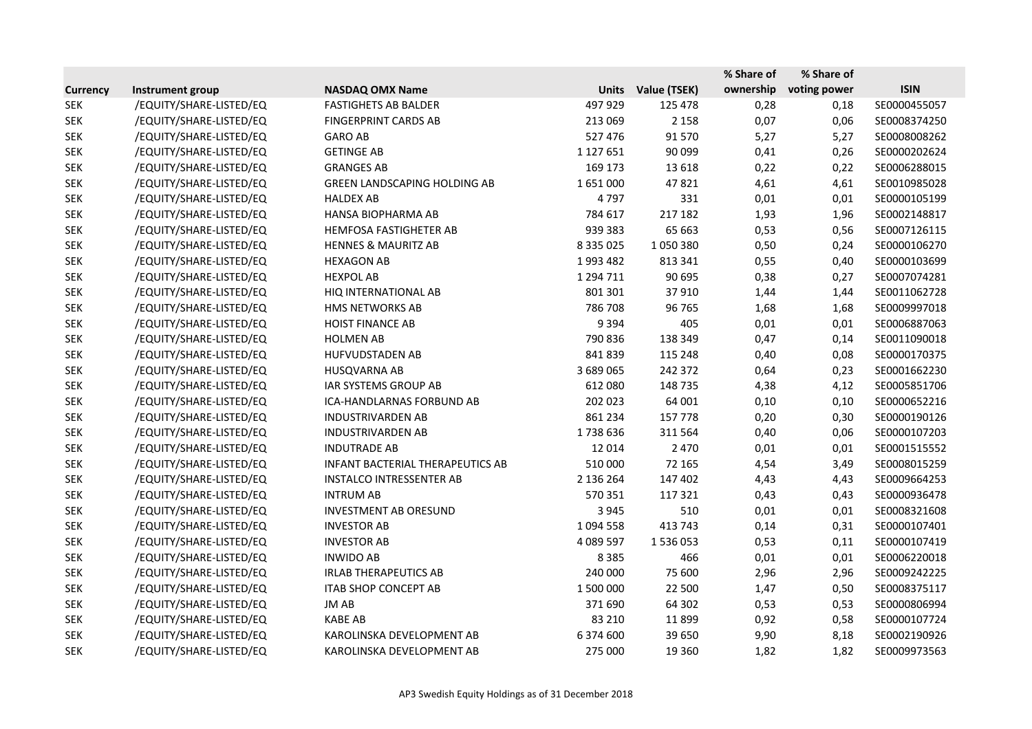|                 |                         |                                         |               |              | % Share of | % Share of   |              |
|-----------------|-------------------------|-----------------------------------------|---------------|--------------|------------|--------------|--------------|
| <b>Currency</b> | Instrument group        | <b>NASDAQ OMX Name</b>                  | <b>Units</b>  | Value (TSEK) | ownership  | voting power | <b>ISIN</b>  |
| <b>SEK</b>      | /EQUITY/SHARE-LISTED/EQ | <b>FASTIGHETS AB BALDER</b>             | 497 929       | 125 478      | 0,28       | 0,18         | SE0000455057 |
| <b>SEK</b>      | /EQUITY/SHARE-LISTED/EQ | <b>FINGERPRINT CARDS AB</b>             | 213 069       | 2 1 5 8      | 0,07       | 0,06         | SE0008374250 |
| <b>SEK</b>      | /EQUITY/SHARE-LISTED/EQ | <b>GARO AB</b>                          | 527 476       | 91570        | 5,27       | 5,27         | SE0008008262 |
| <b>SEK</b>      | /EQUITY/SHARE-LISTED/EQ | <b>GETINGE AB</b>                       | 1 127 651     | 90 099       | 0,41       | 0,26         | SE0000202624 |
| <b>SEK</b>      | /EQUITY/SHARE-LISTED/EQ | <b>GRANGES AB</b>                       | 169 173       | 13 6 18      | 0,22       | 0,22         | SE0006288015 |
| <b>SEK</b>      | /EQUITY/SHARE-LISTED/EQ | <b>GREEN LANDSCAPING HOLDING AB</b>     | 1651000       | 47821        | 4,61       | 4,61         | SE0010985028 |
| <b>SEK</b>      | /EQUITY/SHARE-LISTED/EQ | <b>HALDEX AB</b>                        | 4797          | 331          | 0,01       | 0,01         | SE0000105199 |
| <b>SEK</b>      | /EQUITY/SHARE-LISTED/EQ | HANSA BIOPHARMA AB                      | 784 617       | 217 182      | 1,93       | 1,96         | SE0002148817 |
| <b>SEK</b>      | /EQUITY/SHARE-LISTED/EQ | <b>HEMFOSA FASTIGHETER AB</b>           | 939 383       | 65 663       | 0,53       | 0,56         | SE0007126115 |
| <b>SEK</b>      | /EQUITY/SHARE-LISTED/EQ | <b>HENNES &amp; MAURITZ AB</b>          | 8 3 3 5 0 2 5 | 1050380      | 0,50       | 0,24         | SE0000106270 |
| <b>SEK</b>      | /EQUITY/SHARE-LISTED/EQ | <b>HEXAGON AB</b>                       | 1993 482      | 813 341      | 0,55       | 0,40         | SE0000103699 |
| <b>SEK</b>      | /EQUITY/SHARE-LISTED/EQ | <b>HEXPOL AB</b>                        | 1 294 711     | 90 695       | 0,38       | 0,27         | SE0007074281 |
| <b>SEK</b>      | /EQUITY/SHARE-LISTED/EQ | HIQ INTERNATIONAL AB                    | 801 301       | 37910        | 1,44       | 1,44         | SE0011062728 |
| <b>SEK</b>      | /EQUITY/SHARE-LISTED/EQ | <b>HMS NETWORKS AB</b>                  | 786 708       | 96 765       | 1,68       | 1,68         | SE0009997018 |
| <b>SEK</b>      | /EQUITY/SHARE-LISTED/EQ | <b>HOIST FINANCE AB</b>                 | 9 3 9 4       | 405          | 0,01       | 0,01         | SE0006887063 |
| <b>SEK</b>      | /EQUITY/SHARE-LISTED/EQ | <b>HOLMEN AB</b>                        | 790 836       | 138 349      | 0,47       | 0,14         | SE0011090018 |
| <b>SEK</b>      | /EQUITY/SHARE-LISTED/EQ | <b>HUFVUDSTADEN AB</b>                  | 841839        | 115 248      | 0,40       | 0,08         | SE0000170375 |
| <b>SEK</b>      | /EQUITY/SHARE-LISTED/EQ | <b>HUSQVARNA AB</b>                     | 3 689 065     | 242 372      | 0,64       | 0,23         | SE0001662230 |
| <b>SEK</b>      | /EQUITY/SHARE-LISTED/EQ | IAR SYSTEMS GROUP AB                    | 612 080       | 148735       | 4,38       | 4,12         | SE0005851706 |
| <b>SEK</b>      | /EQUITY/SHARE-LISTED/EQ | ICA-HANDLARNAS FORBUND AB               | 202 023       | 64 001       | 0,10       | 0,10         | SE0000652216 |
| <b>SEK</b>      | /EQUITY/SHARE-LISTED/EQ | <b>INDUSTRIVARDEN AB</b>                | 861 234       | 157 778      | 0,20       | 0,30         | SE0000190126 |
| <b>SEK</b>      | /EQUITY/SHARE-LISTED/EQ | <b>INDUSTRIVARDEN AB</b>                | 1738636       | 311 564      | 0,40       | 0,06         | SE0000107203 |
| <b>SEK</b>      | /EQUITY/SHARE-LISTED/EQ | <b>INDUTRADE AB</b>                     | 12 014        | 2 4 7 0      | 0,01       | 0,01         | SE0001515552 |
| <b>SEK</b>      | /EQUITY/SHARE-LISTED/EQ | <b>INFANT BACTERIAL THERAPEUTICS AB</b> | 510 000       | 72 165       | 4,54       | 3,49         | SE0008015259 |
| <b>SEK</b>      | /EQUITY/SHARE-LISTED/EQ | <b>INSTALCO INTRESSENTER AB</b>         | 2 136 264     | 147 402      | 4,43       | 4,43         | SE0009664253 |
| <b>SEK</b>      | /EQUITY/SHARE-LISTED/EQ | <b>INTRUM AB</b>                        | 570 351       | 117 321      | 0,43       | 0,43         | SE0000936478 |
| <b>SEK</b>      | /EQUITY/SHARE-LISTED/EQ | <b>INVESTMENT AB ORESUND</b>            | 3 9 4 5       | 510          | 0,01       | 0,01         | SE0008321608 |
| <b>SEK</b>      | /EQUITY/SHARE-LISTED/EQ | <b>INVESTOR AB</b>                      | 1 0 9 4 5 5 8 | 413 743      | 0,14       | 0,31         | SE0000107401 |
| <b>SEK</b>      | /EQUITY/SHARE-LISTED/EQ | <b>INVESTOR AB</b>                      | 4 089 597     | 1536053      | 0,53       | 0,11         | SE0000107419 |
| <b>SEK</b>      | /EQUITY/SHARE-LISTED/EQ | <b>INWIDO AB</b>                        | 8 3 8 5       | 466          | 0,01       | 0,01         | SE0006220018 |
| <b>SEK</b>      | /EQUITY/SHARE-LISTED/EQ | <b>IRLAB THERAPEUTICS AB</b>            | 240 000       | 75 600       | 2,96       | 2,96         | SE0009242225 |
| <b>SEK</b>      | /EQUITY/SHARE-LISTED/EQ | <b>ITAB SHOP CONCEPT AB</b>             | 1 500 000     | 22 500       | 1,47       | 0,50         | SE0008375117 |
| <b>SEK</b>      | /EQUITY/SHARE-LISTED/EQ | JM AB                                   | 371 690       | 64 302       | 0,53       | 0,53         | SE0000806994 |
| <b>SEK</b>      | /EQUITY/SHARE-LISTED/EQ | <b>KABE AB</b>                          | 83 210        | 11899        | 0,92       | 0,58         | SE0000107724 |
| <b>SEK</b>      | /EQUITY/SHARE-LISTED/EQ | KAROLINSKA DEVELOPMENT AB               | 6 374 600     | 39 650       | 9,90       | 8,18         | SE0002190926 |
| <b>SEK</b>      | /EQUITY/SHARE-LISTED/EQ | KAROLINSKA DEVELOPMENT AB               | 275 000       | 19 3 60      | 1,82       | 1,82         | SE0009973563 |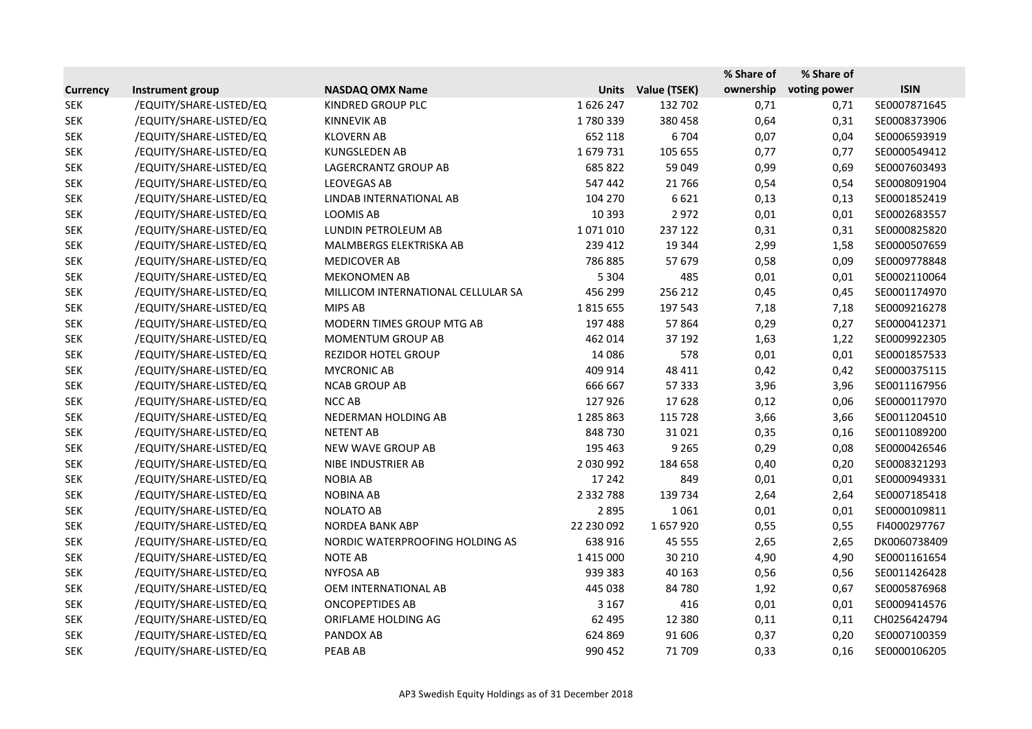|                 |                         |                                    |               |              | % Share of | % Share of   |              |
|-----------------|-------------------------|------------------------------------|---------------|--------------|------------|--------------|--------------|
| <b>Currency</b> | Instrument group        | <b>NASDAQ OMX Name</b>             | <b>Units</b>  | Value (TSEK) | ownership  | voting power | <b>ISIN</b>  |
| <b>SEK</b>      | /EQUITY/SHARE-LISTED/EQ | KINDRED GROUP PLC                  | 1626247       | 132 702      | 0,71       | 0,71         | SE0007871645 |
| <b>SEK</b>      | /EQUITY/SHARE-LISTED/EQ | <b>KINNEVIK AB</b>                 | 1780339       | 380 458      | 0,64       | 0,31         | SE0008373906 |
| <b>SEK</b>      | /EQUITY/SHARE-LISTED/EQ | <b>KLOVERN AB</b>                  | 652 118       | 6704         | 0,07       | 0,04         | SE0006593919 |
| <b>SEK</b>      | /EQUITY/SHARE-LISTED/EQ | <b>KUNGSLEDEN AB</b>               | 1679731       | 105 655      | 0,77       | 0,77         | SE0000549412 |
| <b>SEK</b>      | /EQUITY/SHARE-LISTED/EQ | LAGERCRANTZ GROUP AB               | 685 822       | 59 049       | 0,99       | 0,69         | SE0007603493 |
| <b>SEK</b>      | /EQUITY/SHARE-LISTED/EQ | <b>LEOVEGAS AB</b>                 | 547 442       | 21766        | 0,54       | 0,54         | SE0008091904 |
| <b>SEK</b>      | /EQUITY/SHARE-LISTED/EQ | LINDAB INTERNATIONAL AB            | 104 270       | 6621         | 0,13       | 0,13         | SE0001852419 |
| <b>SEK</b>      | /EQUITY/SHARE-LISTED/EQ | <b>LOOMIS AB</b>                   | 10 3 93       | 2972         | 0,01       | 0,01         | SE0002683557 |
| <b>SEK</b>      | /EQUITY/SHARE-LISTED/EQ | LUNDIN PETROLEUM AB                | 1071010       | 237 122      | 0,31       | 0,31         | SE0000825820 |
| <b>SEK</b>      | /EQUITY/SHARE-LISTED/EQ | MALMBERGS ELEKTRISKA AB            | 239 412       | 19 344       | 2,99       | 1,58         | SE0000507659 |
| <b>SEK</b>      | /EQUITY/SHARE-LISTED/EQ | <b>MEDICOVER AB</b>                | 786 885       | 57 679       | 0,58       | 0,09         | SE0009778848 |
| <b>SEK</b>      | /EQUITY/SHARE-LISTED/EQ | <b>MEKONOMEN AB</b>                | 5 3 0 4       | 485          | 0,01       | 0,01         | SE0002110064 |
| <b>SEK</b>      | /EQUITY/SHARE-LISTED/EQ | MILLICOM INTERNATIONAL CELLULAR SA | 456 299       | 256 212      | 0,45       | 0,45         | SE0001174970 |
| <b>SEK</b>      | /EQUITY/SHARE-LISTED/EQ | MIPS AB                            | 1815655       | 197 543      | 7,18       | 7,18         | SE0009216278 |
| <b>SEK</b>      | /EQUITY/SHARE-LISTED/EQ | MODERN TIMES GROUP MTG AB          | 197 488       | 57864        | 0,29       | 0,27         | SE0000412371 |
| <b>SEK</b>      | /EQUITY/SHARE-LISTED/EQ | MOMENTUM GROUP AB                  | 462 014       | 37 192       | 1,63       | 1,22         | SE0009922305 |
| <b>SEK</b>      | /EQUITY/SHARE-LISTED/EQ | <b>REZIDOR HOTEL GROUP</b>         | 14 0 86       | 578          | 0,01       | 0,01         | SE0001857533 |
| <b>SEK</b>      | /EQUITY/SHARE-LISTED/EQ | <b>MYCRONIC AB</b>                 | 409 914       | 48 411       | 0,42       | 0,42         | SE0000375115 |
| <b>SEK</b>      | /EQUITY/SHARE-LISTED/EQ | <b>NCAB GROUP AB</b>               | 666 667       | 57 333       | 3,96       | 3,96         | SE0011167956 |
| <b>SEK</b>      | /EQUITY/SHARE-LISTED/EQ | NCC AB                             | 127926        | 17628        | 0,12       | 0,06         | SE0000117970 |
| <b>SEK</b>      | /EQUITY/SHARE-LISTED/EQ | NEDERMAN HOLDING AB                | 1 285 863     | 115 728      | 3,66       | 3,66         | SE0011204510 |
| <b>SEK</b>      | /EQUITY/SHARE-LISTED/EQ | <b>NETENT AB</b>                   | 848 730       | 31021        | 0,35       | 0,16         | SE0011089200 |
| <b>SEK</b>      | /EQUITY/SHARE-LISTED/EQ | NEW WAVE GROUP AB                  | 195 463       | 9 2 6 5      | 0,29       | 0,08         | SE0000426546 |
| <b>SEK</b>      | /EQUITY/SHARE-LISTED/EQ | NIBE INDUSTRIER AB                 | 2 030 992     | 184 658      | 0,40       | 0,20         | SE0008321293 |
| <b>SEK</b>      | /EQUITY/SHARE-LISTED/EQ | <b>NOBIA AB</b>                    | 17 24 2       | 849          | 0,01       | 0,01         | SE0000949331 |
| <b>SEK</b>      | /EQUITY/SHARE-LISTED/EQ | <b>NOBINA AB</b>                   | 2 3 3 2 7 8 8 | 139 734      | 2,64       | 2,64         | SE0007185418 |
| <b>SEK</b>      | /EQUITY/SHARE-LISTED/EQ | <b>NOLATO AB</b>                   | 2895          | 1061         | 0,01       | 0,01         | SE0000109811 |
| <b>SEK</b>      | /EQUITY/SHARE-LISTED/EQ | <b>NORDEA BANK ABP</b>             | 22 230 092    | 1657920      | 0,55       | 0,55         | FI4000297767 |
| <b>SEK</b>      | /EQUITY/SHARE-LISTED/EQ | NORDIC WATERPROOFING HOLDING AS    | 638 916       | 45 5 5 5     | 2,65       | 2,65         | DK0060738409 |
| <b>SEK</b>      | /EQUITY/SHARE-LISTED/EQ | <b>NOTE AB</b>                     | 1 4 1 5 0 0 0 | 30 210       | 4,90       | 4,90         | SE0001161654 |
| <b>SEK</b>      | /EQUITY/SHARE-LISTED/EQ | <b>NYFOSA AB</b>                   | 939 383       | 40 163       | 0,56       | 0,56         | SE0011426428 |
| <b>SEK</b>      | /EQUITY/SHARE-LISTED/EQ | OEM INTERNATIONAL AB               | 445 038       | 84 780       | 1,92       | 0,67         | SE0005876968 |
| <b>SEK</b>      | /EQUITY/SHARE-LISTED/EQ | <b>ONCOPEPTIDES AB</b>             | 3 1 6 7       | 416          | 0,01       | 0,01         | SE0009414576 |
| <b>SEK</b>      | /EQUITY/SHARE-LISTED/EQ | ORIFLAME HOLDING AG                | 62 495        | 12 3 8 0     | 0,11       | 0,11         | CH0256424794 |
| <b>SEK</b>      | /EQUITY/SHARE-LISTED/EQ | PANDOX AB                          | 624 869       | 91 606       | 0,37       | 0,20         | SE0007100359 |
| <b>SEK</b>      | /EQUITY/SHARE-LISTED/EQ | PEAB AB                            | 990 452       | 71 709       | 0,33       | 0,16         | SE0000106205 |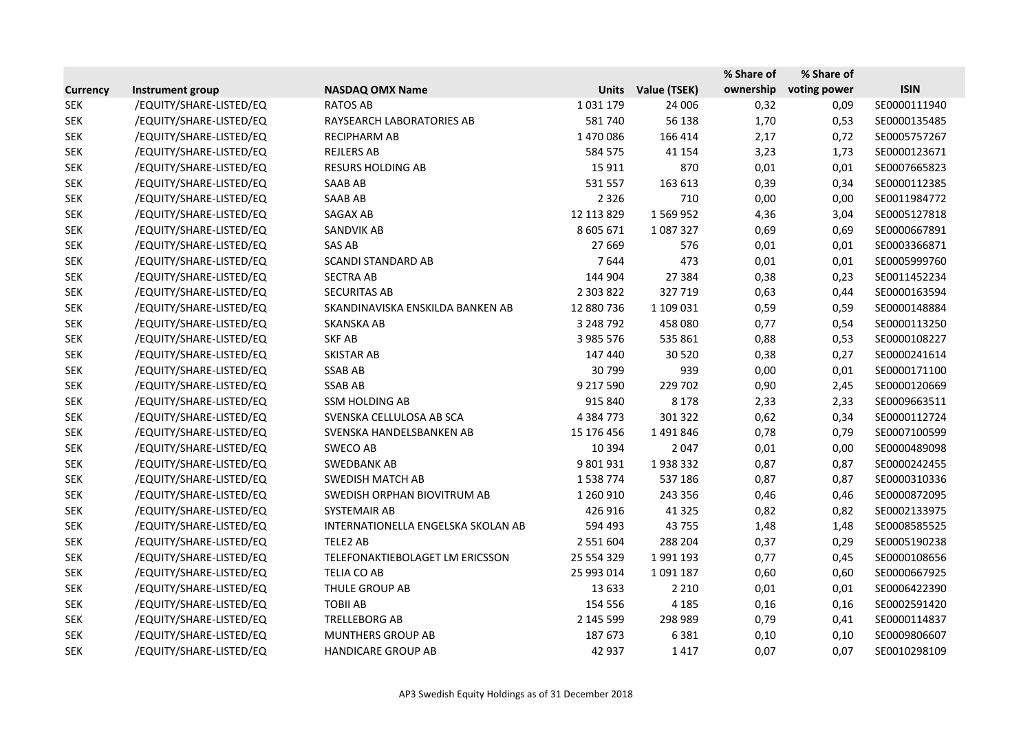|                 |                         |                                    |               |              | % Share of | % Share of   |              |
|-----------------|-------------------------|------------------------------------|---------------|--------------|------------|--------------|--------------|
| <b>Currency</b> | Instrument group        | <b>NASDAQ OMX Name</b>             | <b>Units</b>  | Value (TSEK) | ownership  | voting power | <b>ISIN</b>  |
| <b>SEK</b>      | /EQUITY/SHARE-LISTED/EQ | <b>RATOS AB</b>                    | 1031179       | 24 006       | 0,32       | 0,09         | SE0000111940 |
| <b>SEK</b>      | /EQUITY/SHARE-LISTED/EQ | RAYSEARCH LABORATORIES AB          | 581740        | 56 138       | 1,70       | 0,53         | SE0000135485 |
| <b>SEK</b>      | /EQUITY/SHARE-LISTED/EQ | RECIPHARM AB                       | 1470086       | 166 414      | 2,17       | 0,72         | SE0005757267 |
| <b>SEK</b>      | /EQUITY/SHARE-LISTED/EQ | <b>REJLERS AB</b>                  | 584 575       | 41 154       | 3,23       | 1,73         | SE0000123671 |
| <b>SEK</b>      | /EQUITY/SHARE-LISTED/EQ | <b>RESURS HOLDING AB</b>           | 15 9 11       | 870          | 0,01       | 0,01         | SE0007665823 |
| <b>SEK</b>      | /EQUITY/SHARE-LISTED/EQ | SAAB AB                            | 531 557       | 163 613      | 0,39       | 0,34         | SE0000112385 |
| <b>SEK</b>      | /EQUITY/SHARE-LISTED/EQ | <b>SAAB AB</b>                     | 2 3 2 6       | 710          | 0,00       | 0,00         | SE0011984772 |
| <b>SEK</b>      | /EQUITY/SHARE-LISTED/EQ | SAGAX AB                           | 12 113 829    | 1569952      | 4,36       | 3,04         | SE0005127818 |
| <b>SEK</b>      | /EQUITY/SHARE-LISTED/EQ | SANDVIK AB                         | 8 605 671     | 1087327      | 0,69       | 0,69         | SE0000667891 |
| <b>SEK</b>      | /EQUITY/SHARE-LISTED/EQ | SAS AB                             | 27 6 69       | 576          | 0,01       | 0,01         | SE0003366871 |
| <b>SEK</b>      | /EQUITY/SHARE-LISTED/EQ | <b>SCANDI STANDARD AB</b>          | 7644          | 473          | 0,01       | 0,01         | SE0005999760 |
| <b>SEK</b>      | /EQUITY/SHARE-LISTED/EQ | <b>SECTRA AB</b>                   | 144 904       | 27 384       | 0,38       | 0,23         | SE0011452234 |
| <b>SEK</b>      | /EQUITY/SHARE-LISTED/EQ | <b>SECURITAS AB</b>                | 2 303 822     | 327719       | 0,63       | 0,44         | SE0000163594 |
| <b>SEK</b>      | /EQUITY/SHARE-LISTED/EQ | SKANDINAVISKA ENSKILDA BANKEN AB   | 12 880 736    | 1 109 031    | 0,59       | 0,59         | SE0000148884 |
| <b>SEK</b>      | /EQUITY/SHARE-LISTED/EQ | <b>SKANSKA AB</b>                  | 3 248 792     | 458 080      | 0,77       | 0,54         | SE0000113250 |
| <b>SEK</b>      | /EQUITY/SHARE-LISTED/EQ | <b>SKF AB</b>                      | 3 985 576     | 535 861      | 0,88       | 0,53         | SE0000108227 |
| <b>SEK</b>      | /EQUITY/SHARE-LISTED/EQ | <b>SKISTAR AB</b>                  | 147 440       | 30 5 20      | 0,38       | 0,27         | SE0000241614 |
| <b>SEK</b>      | /EQUITY/SHARE-LISTED/EQ | <b>SSAB AB</b>                     | 30799         | 939          | 0,00       | 0,01         | SE0000171100 |
| <b>SEK</b>      | /EQUITY/SHARE-LISTED/EQ | <b>SSAB AB</b>                     | 9 217 590     | 229 702      | 0,90       | 2,45         | SE0000120669 |
| <b>SEK</b>      | /EQUITY/SHARE-LISTED/EQ | <b>SSM HOLDING AB</b>              | 915 840       | 8 1 7 8      | 2,33       | 2,33         | SE0009663511 |
| <b>SEK</b>      | /EQUITY/SHARE-LISTED/EQ | SVENSKA CELLULOSA AB SCA           | 4 3 8 4 7 7 3 | 301 322      | 0,62       | 0,34         | SE0000112724 |
| <b>SEK</b>      | /EQUITY/SHARE-LISTED/EQ | SVENSKA HANDELSBANKEN AB           | 15 176 456    | 1491846      | 0,78       | 0,79         | SE0007100599 |
| <b>SEK</b>      | /EQUITY/SHARE-LISTED/EQ | <b>SWECO AB</b>                    | 10 3 94       | 2047         | 0,01       | 0,00         | SE0000489098 |
| <b>SEK</b>      | /EQUITY/SHARE-LISTED/EQ | <b>SWEDBANK AB</b>                 | 9 801 931     | 1938332      | 0,87       | 0,87         | SE0000242455 |
| <b>SEK</b>      | /EQUITY/SHARE-LISTED/EQ | <b>SWEDISH MATCH AB</b>            | 1538774       | 537 186      | 0,87       | 0,87         | SE0000310336 |
| <b>SEK</b>      | /EQUITY/SHARE-LISTED/EQ | SWEDISH ORPHAN BIOVITRUM AB        | 1 260 910     | 243 356      | 0,46       | 0,46         | SE0000872095 |
| <b>SEK</b>      | /EQUITY/SHARE-LISTED/EQ | SYSTEMAIR AB                       | 426 916       | 41 3 25      | 0,82       | 0,82         | SE0002133975 |
| <b>SEK</b>      | /EQUITY/SHARE-LISTED/EQ | INTERNATIONELLA ENGELSKA SKOLAN AB | 594 493       | 43 755       | 1,48       | 1,48         | SE0008585525 |
| <b>SEK</b>      | /EQUITY/SHARE-LISTED/EQ | TELE2 AB                           | 2 551 604     | 288 204      | 0,37       | 0,29         | SE0005190238 |
| <b>SEK</b>      | /EQUITY/SHARE-LISTED/EQ | TELEFONAKTIEBOLAGET LM ERICSSON    | 25 554 329    | 1991193      | 0,77       | 0,45         | SE0000108656 |
| <b>SEK</b>      | /EQUITY/SHARE-LISTED/EQ | TELIA CO AB                        | 25 993 014    | 1091187      | 0,60       | 0,60         | SE0000667925 |
| <b>SEK</b>      | /EQUITY/SHARE-LISTED/EQ | THULE GROUP AB                     | 13 633        | 2 2 1 0      | 0,01       | 0,01         | SE0006422390 |
| <b>SEK</b>      | /EQUITY/SHARE-LISTED/EQ | <b>TOBILAB</b>                     | 154 556       | 4 1 8 5      | 0,16       | 0,16         | SE0002591420 |
| <b>SEK</b>      | /EQUITY/SHARE-LISTED/EQ | <b>TRELLEBORG AB</b>               | 2 145 599     | 298 989      | 0,79       | 0,41         | SE0000114837 |
| <b>SEK</b>      | /EQUITY/SHARE-LISTED/EQ | MUNTHERS GROUP AB                  | 187 673       | 6381         | 0,10       | 0,10         | SE0009806607 |
| <b>SEK</b>      | /EQUITY/SHARE-LISTED/EQ | HANDICARE GROUP AB                 | 42 937        | 1417         | 0,07       | 0,07         | SE0010298109 |